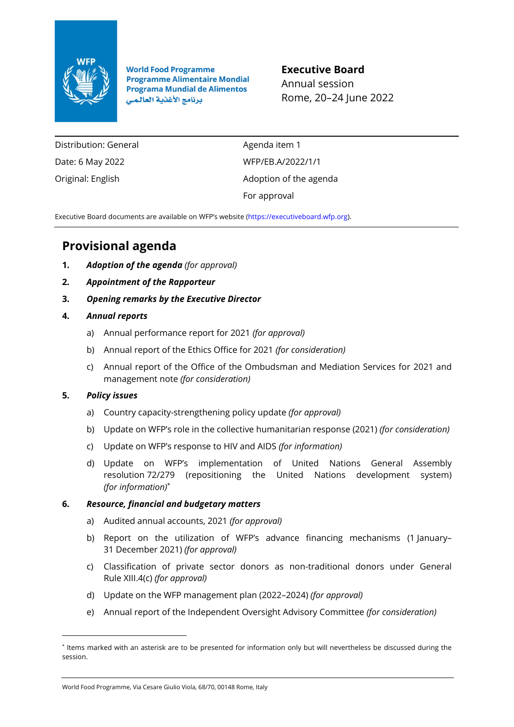

**World Food Programme Programme Alimentaire Mondial Programa Mundial de Alimentos** برنامج الأغذية العالمي

**Executive Board** Annual session Rome, 20–24 June 2022

Distribution: General Date: 6 May 2022 Original: English

Agenda item 1 WFP/EB.A/2022/1/1 Adoption of the agenda For approval

Executive Board documents are available on WFP's website ([https://executiveboard.wfp.org\)](https://executiveboard.wfp.org/).

# **Provisional agenda**

- **1.** *Adoption of the agenda (for approval)*
- **2.** *Appointment of the Rapporteur*
- **3.** *Opening remarks by the Executive Director*
- **4.** *Annual reports*
	- a) Annual performance report for 2021 *(for approval)*
	- b) Annual report of the Ethics Office for 2021 *(for consideration)*
	- c) Annual report of the Office of the Ombudsman and Mediation Services for 2021 and management note *(for consideration)*

## **5.** *Policy issues*

- a) Country capacity-strengthening policy update *(for approval)*
- b) Update on WFP's role in the collective humanitarian response (2021) *(for consideration)*
- c) Update on WFP's response to HIV and AIDS *(for information)*
- d) Update on WFP's implementation of United Nations General Assembly resolution 72/279 (repositioning the United Nations development system) *(for information)*\*

## **6.** *Resource, financial and budgetary matters*

- a) Audited annual accounts, 2021 *(for approval)*
- b) Report on the utilization of WFP's advance financing mechanisms (1 January– 31 December 2021) *(for approval)*
- c) Classification of private sector donors as non-traditional donors under General Rule XIII.4(c) *(for approval)*
- d) Update on the WFP management plan (2022–2024) *(for approval)*
- e) Annual report of the Independent Oversight Advisory Committee *(for consideration)*

<sup>\*</sup> Items marked with an asterisk are to be presented for information only but will nevertheless be discussed during the session.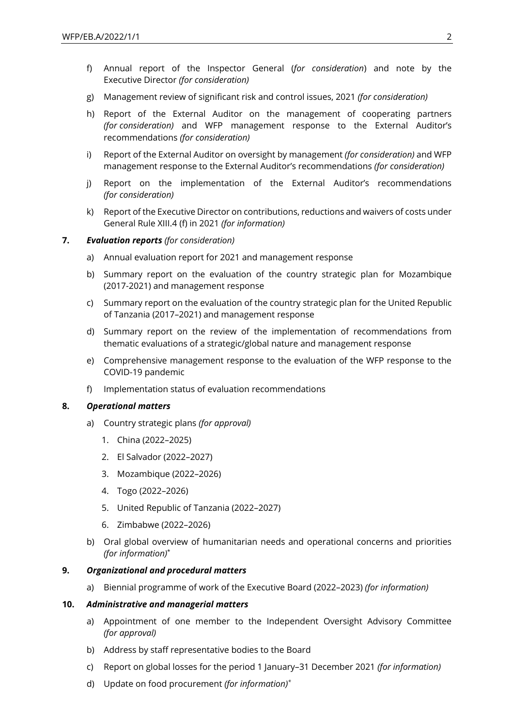- f) Annual report of the Inspector General (*for consideration*) and note by the Executive Director *(for consideration)*
- g) Management review of significant risk and control issues, 2021 *(for consideration)*
- h) Report of the External Auditor on the management of cooperating partners *(for consideration)* and WFP management response to the External Auditor's recommendations *(for consideration)*
- i) Report of the External Auditor on oversight by management *(for consideration)* and WFP management response to the External Auditor's recommendations *(for consideration)*
- j) Report on the implementation of the External Auditor's recommendations *(for consideration)*
- k) Report of the Executive Director on contributions, reductions and waivers of costs under General Rule XIII.4 (f) in 2021 *(for information)*

#### **7.** *Evaluation reports (for consideration)*

- a) Annual evaluation report for 2021 and management response
- b) Summary report on the evaluation of the country strategic plan for Mozambique (2017-2021) and management response
- c) Summary report on the evaluation of the country strategic plan for the United Republic of Tanzania (2017–2021) and management response
- d) Summary report on the review of the implementation of recommendations from thematic evaluations of a strategic/global nature and management response
- e) Comprehensive management response to the evaluation of the WFP response to the COVID-19 pandemic
- f) Implementation status of evaluation recommendations

#### **8.** *Operational matters*

- a) Country strategic plans *(for approval)*
	- 1. China (2022–2025)
	- 2. El Salvador (2022–2027)
	- 3. Mozambique (2022–2026)
	- 4. Togo (2022–2026)
	- 5. United Republic of Tanzania (2022–2027)
	- 6. Zimbabwe (2022–2026)
- b) Oral global overview of humanitarian needs and operational concerns and priorities *(for information)*\*

#### **9.** *Organizational and procedural matters*

a) Biennial programme of work of the Executive Board (2022–2023) *(for information)*

#### **10.** *Administrative and managerial matters*

- a) Appointment of one member to the Independent Oversight Advisory Committee *(for approval)*
- b) Address by staff representative bodies to the Board
- c) Report on global losses for the period 1 January–31 December 2021 *(for information)*
- d) Update on food procurement *(for information)\**